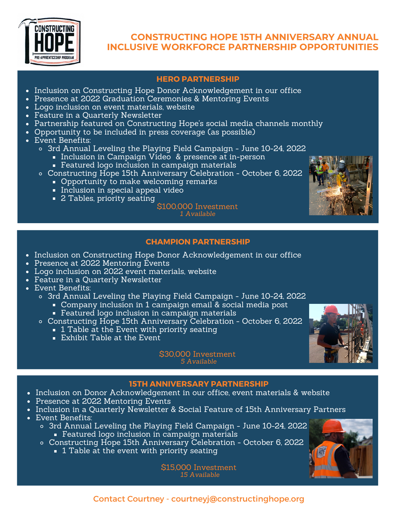

# **CONSTRUCTING HOPE 15TH ANNIVERSARY ANNUAL INCLUSIVE WORKFORCE PARTNERSHIP OPPORTUNITIES**

### **HERO PARTNERSHIP**

- Inclusion on Constructing Hope Donor Acknowledgement in our office
- Presence at 2022 Graduation Ceremonies & Mentoring Events
- Logo inclusion on event materials, website
- Feature in a Quarterly Newsletter
- Partnership featured on Constructing Hope's social media channels monthly
- Opportunity to be included in press coverage (as possible)
- Event Benefits:
	- 3rd Annual Leveling the Playing Field Campaign June 10-24, 2022
		- Inclusion in Campaign Video & presence at in-person
		- **Featured logo inclusion in campaign materials**
	- Constructing Hope 15th Anniversary Celebration October 6, 2022
		- **Deportunity to make welcoming remarks**
		- **Inclusion in special appeal video**
		- 2 Tables, priority seating

#### \$100,000 Investment *1 Available*



## **CHAMPION PARTNERSHIP**

- Inclusion on Constructing Hope Donor Acknowledgement in our office
- Presence at 2022 Mentoring Events
- Logo inclusion on 2022 event materials, website
- Feature in a Quarterly Newsletter
- Event Benefits:
	- 3rd Annual Leveling the Playing Field Campaign June 10-24, 2022
		- Company inclusion in 1 campaign email & social media post
		- **Featured logo inclusion in campaign materials**
	- Constructing Hope 15th Anniversary Celebration October 6, 2022
		- **1** Table at the Event with priority seating
		- **Exhibit Table at the Event**

\$30,000 Investment *5 Available*

#### **15TH ANNIVERSARY PARTNERSHIP**

- Inclusion on Donor Acknowledgement in our office, event materials & website
- Presence at 2022 Mentoring Events
- Inclusion in a Quarterly Newsletter & Social Feature of 15th Anniversary Partners
- Event Benefits:
	- 3rd Annual Leveling the Playing Field Campaign June 10-24, 2022
		- **Featured logo inclusion in campaign materials**
	- Constructing Hope 15th Anniversary Celebration October 6, 2022
		- **1** Table at the event with priority seating

\$15,000 Investment *15 Available*





## Contact Courtney - courtneyj@constructinghope.org